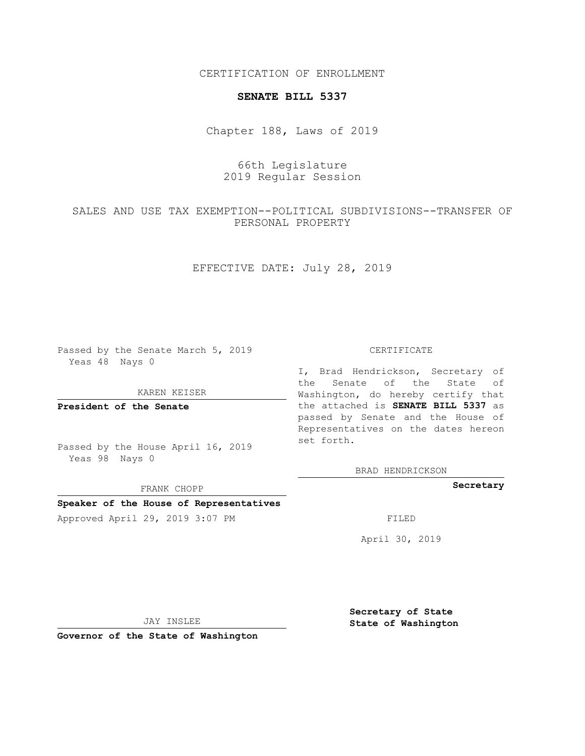CERTIFICATION OF ENROLLMENT

#### **SENATE BILL 5337**

Chapter 188, Laws of 2019

# 66th Legislature 2019 Regular Session

## SALES AND USE TAX EXEMPTION--POLITICAL SUBDIVISIONS--TRANSFER OF PERSONAL PROPERTY

### EFFECTIVE DATE: July 28, 2019

Passed by the Senate March 5, 2019 Yeas 48 Nays 0

#### KAREN KEISER

**President of the Senate**

Passed by the House April 16, 2019 Yeas 98 Nays 0

FRANK CHOPP

### **Speaker of the House of Representatives**

Approved April 29, 2019 3:07 PM FILED

#### CERTIFICATE

I, Brad Hendrickson, Secretary of the Senate of the State of Washington, do hereby certify that the attached is **SENATE BILL 5337** as passed by Senate and the House of Representatives on the dates hereon set forth.

BRAD HENDRICKSON

**Secretary**

April 30, 2019

JAY INSLEE

**Governor of the State of Washington**

**Secretary of State State of Washington**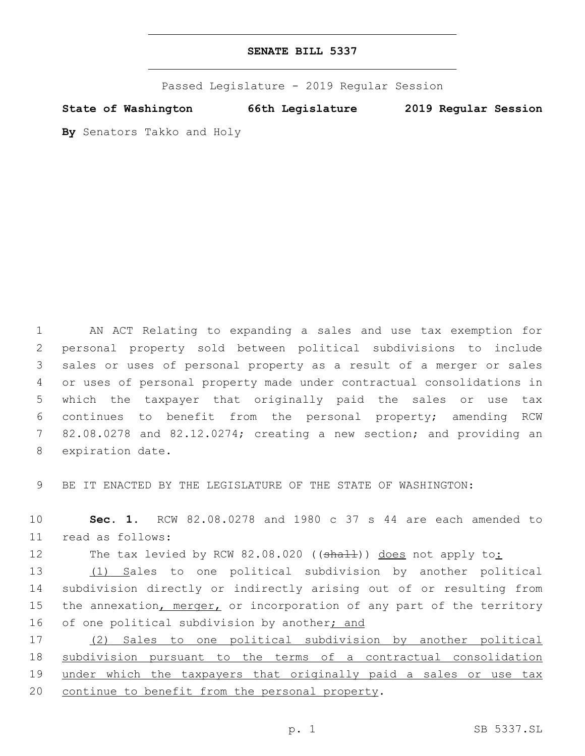Passed Legislature - 2019 Regular Session

**State of Washington 66th Legislature 2019 Regular Session**

**By** Senators Takko and Holy

 AN ACT Relating to expanding a sales and use tax exemption for personal property sold between political subdivisions to include sales or uses of personal property as a result of a merger or sales or uses of personal property made under contractual consolidations in which the taxpayer that originally paid the sales or use tax continues to benefit from the personal property; amending RCW 82.08.0278 and 82.12.0274; creating a new section; and providing an 8 expiration date.

9 BE IT ENACTED BY THE LEGISLATURE OF THE STATE OF WASHINGTON:

10 **Sec. 1.** RCW 82.08.0278 and 1980 c 37 s 44 are each amended to read as follows:11

12 The tax levied by RCW 82.08.020 ((shall)) does not apply to:

13 (1) Sales to one political subdivision by another political 14 subdivision directly or indirectly arising out of or resulting from 15 the annexation, merger, or incorporation of any part of the territory 16 of one political subdivision by another<sub>j</sub> and

17 (2) Sales to one political subdivision by another political 18 subdivision pursuant to the terms of a contractual consolidation 19 under which the taxpayers that originally paid a sales or use tax 20 continue to benefit from the personal property.